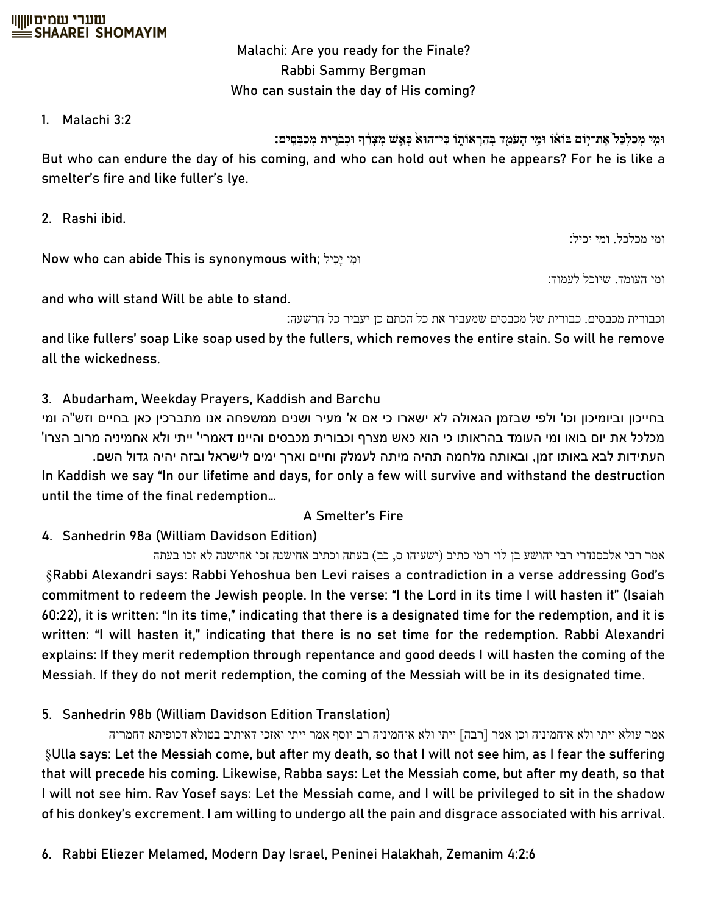**Malachi: Are you ready for the Finale?** Rabbi Sammy Bergman **Who can sustain the day of His coming?**

#### **1. Malachi 3:2**

**ֿוּמֵי מְכַלְכֵּל אֲת־יִוֹם בּוֹא**ֹו וּמֵי הַעֹּמֵֽד בְּהֵרַאוֹתָוֹ כִּי־הוּאֹ כָּאֲשׁ מִצָּרֵ֫ךְ וּכְבִרִית מְכַבְּסִיִּם:

**But who can endure the day of his coming, and who can hold out when he appears? For he is like a smelter's fire and like fuller's lye.**

**2. Rashi ibid.**

ומי מכלכל. ומי יכיל:

Now who can abide This is synonymous with; וּמִי יַכִיל

ומי העומד. שיוכל לעמוד:

and who will stand Will be able to stand.

וכבורית מכבסים. כבורית של מכבסים שמעביר את כל הכתם כן יעביר כל הרשעה:

and like fullers' soap Like soap used by the fullers, which removes the entire stain. So will he remove all the wickedness .

### **3. Abudarham, Weekday Prayers, Kaddish and Barchu**

בחייכון וביומיכון וכו' ולפי שבזמן הגאולה לא ישארו כי אם א' מעיר ושנים ממשפחה אנו מתברכין כאן בחיים וזש"ה ומי מכלכל את יום בואו ומי העומד בהראותו כי הוא כאש מצרף וכבורית מכבסים והיינו דאמרי' ייתי ולא אחמיניה מרוב הצרו'

העתידות לבא באותו זמן, ובאותה מלחמה תהיה מיתה לעמלק וחיים וארך ימים לישראל ובזה יהיה גדול השם. In Kaddish we say "In our lifetime and days, for only a few will survive and withstand the destruction until the time of the final redemption…

#### **A Smelter's Fire**

## 4. **Sanhedrin 98a (William Davidson Edition)**

אמר רבי אלכסנדרי רבי יהושע בן לוי רמי כתיב (ישעיהו ס, כב) בעתה וכתיב אחישנה זכו אחישנה לא זכו בעתה §Rabbi Alexandri says: Rabbi Yehoshua ben Levi raises a contradiction in a verse addressing God's commitment to redeem the Jewish people. In the verse: "I the Lord in its time I will hasten it" (Isaiah 60:22), it is written: "In its time," indicating that there is a designated time for the redemption, and it is written: "I will hasten it," indicating that there is no set time for the redemption. Rabbi Alexandri explains: If they merit redemption through repentance and good deeds I will hasten the coming of the Messiah. If they do not merit redemption, the coming of the Messiah will be in its designated time .

## **5. Sanhedrin 98b (William Davidson Edition Translation)**

אמר עולא ייתי ולא איחמיניה וכן אמר ]רבה[ ייתי ולא איחמיניה רב יוסף אמר ייתי ואזכי דאיתיב בטולא דכופיתא דחמריה §Ulla says: Let the Messiah come, but after my death, so that I will not see him, as I fear the suffering that will precede his coming. Likewise, Rabba says: Let the Messiah come, but after my death, so that I will not see him. Rav Yosef says: Let the Messiah come, and I will be privileged to sit in the shadow of his donkey's excrement. I am willing to undergo all the pain and disgrace associated with his arrival.

**6. Rabbi Eliezer Melamed, Modern Day Israel, Peninei Halakhah, Zemanim 4:2:6**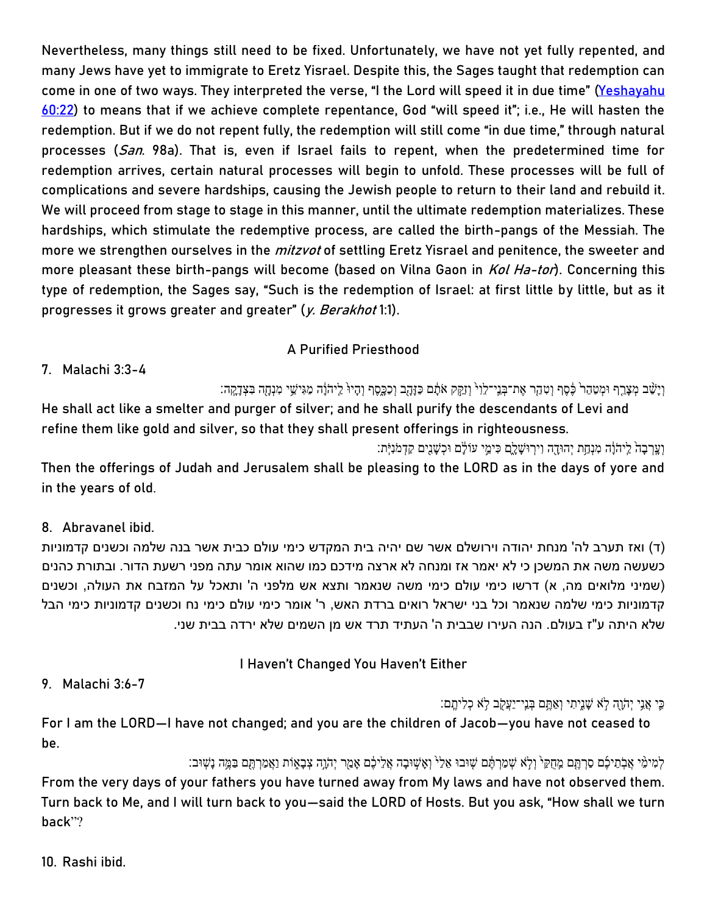Nevertheless, many things still need to be fixed. Unfortunately, we have not yet fully repented, and many Jews have yet to immigrate to Eretz Yisrael. Despite this, the Sages taught that redemption can come in one of two ways. They interpreted the verse, "I the Lord will speed it in due time" (Yeshayahu [60:22\)](/Isaiah.60.22) to means that if we achieve complete repentance, God "will speed it"; i.e., He will hasten the redemption. But if we do not repent fully, the redemption will still come "in due time," through natural processes (San. 98a). That is, even if Israel fails to repent, when the predetermined time for redemption arrives, certain natural processes will begin to unfold. These processes will be full of complications and severe hardships, causing the Jewish people to return to their land and rebuild it. We will proceed from stage to stage in this manner, until the ultimate redemption materializes. These hardships, which stimulate the redemptive process, are called the birth-pangs of the Messiah. The more we strengthen ourselves in the *mitzvot* of settling Eretz Yisrael and penitence, the sweeter and more pleasant these birth-pangs will become (based on Vilna Gaon in Kol Ha-tor). Concerning this type of redemption, the Sages say, "Such is the redemption of Israel: at first little by little, but as it progresses it grows greater and greater" (y. Berakhot 1:1).

# **A Purified Priesthood**

**7. Malachi 3:3-4**

וְיָשַּׁב מְצָרֵף וּמְטַהֵר כֶּ֫טֶף וְטָהַר אֶת־בְּנֵי־לֵוִי וְזַקֵּק אֹתָם כַּזָּהָב וְכַכָּסֶף וְהָיוּ לֵיהֹוֶׂה מַגִּיֹשֵׁי מִנְחָה בִּצְדָקָה:

He shall act like a smelter and purger of silver; and he shall purify the descendants of Levi and refine them like gold and silver, so that they shall present offerings in righteousness.

וְעֵרְבָהׂ לֵיהֹוֵּה מִנְחָת יְהוּדֻה וִירְוּשָׁלֵּ֑ם כִּימֵי עוֹלָּם וּכִשָּׁנָיִם קַדְמֹנִיִּֽת: Then the offerings of Judah and Jerusalem shall be pleasing to the LORD as in the days of yore and in the years of old.

## **8. Abravanel ibid.**

)ד( ואז תערב לה' מנחת יהודה וירושלם אשר שם יהיה בית המקדש כימי עולם כבית אשר בנה שלמה וכשנים קדמוניות כשעשה משה את המשכן כי לא יאמר אז ומנחה לא ארצה מידכם כמו שהוא אומר עתה מפני רשעת הדור. ובתורת כהנים (שמיני מלואים מה, א) דרשו כימי עולם כימי משה שנאמר ותצא אש מלפני ה' ותאכל על המזבח את העולה, וכשנים קדמוניות כימי שלמה שנאמר וכל בני ישראל רואים ברדת האש, ר' אומר כימי עולם כימי נח וכשנים קדמוניות כימי הבל שלא היתה ע"ז בעולם. הנה העירו שבבית ה' העתיד תרד אש מן השמים שלא ירדה בבית שני.

**I Haven't Changed You Haven't Either**

**9. Malachi 3:6-7**

ּכֵּי אֲנִי יְהֹוֶה לָ<sup>ׂ</sup>ֹא שָׁנֵיתִי וְאַתֲם בְּנֵי־יַעֲקֶׂב לָ<sup>ׂ</sup>ֹא כְלִיתֵם:

For I am the LORD—I have not changed; and you are the children of Jacob—you have not ceased to be.

# לְמִימֵּ֫י אֲבְתֵיכֶۢם סַרְתֵּם מֵחָקַי{ וְלָא שָׁמַרְתֶּ֫ם שָׁוּבּוּ אֶלֵי{ וְאֲשִׁוּבָה אֲלֵיכֶם אֲמַר יְהֹוֶה צְבָאָוֹת וַאֲמַרְתֵּם בַּמֵּה נַשְׁוּבּ:

From the very days of your fathers you have turned away from My laws and have not observed them. Turn back to Me, and I will turn back to you—said the LORD of Hosts. But you ask, "How shall we turn back"?

**10. Rashi ibid.**